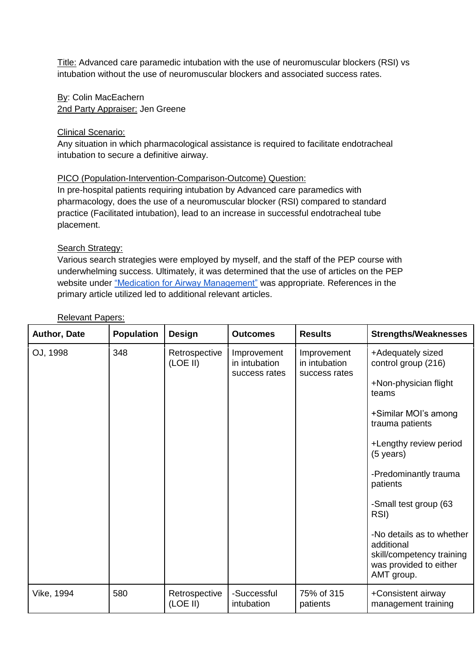Title: Advanced care paramedic intubation with the use of neuromuscular blockers (RSI) vs intubation without the use of neuromuscular blockers and associated success rates.

By: Colin MacEachern 2nd Party Appraiser: Jen Greene

Clinical Scenario:

Any situation in which pharmacological assistance is required to facilitate endotracheal intubation to secure a definitive airway.

### PICO (Population-Intervention-Comparison-Outcome) Question:

In pre-hospital patients requiring intubation by Advanced care paramedics with pharmacology, does the use of a neuromuscular blocker (RSI) compared to standard practice (Facilitated intubation), lead to an increase in successful endotracheal tube placement.

## Search Strategy:

Various search strategies were employed by myself, and the staff of the PEP course with underwhelming success. Ultimately, it was determined that the use of articles on the PEP website under ["Medication for Airway Management"](https://emspep.cdha.nshealth.ca/LOE.aspx?VProtStr=Medication%20for%20Airway%20Management&VProtID=229) was appropriate. References in the primary article utilized led to additional relevant articles.

| Author, Date | <b>Population</b> | <b>Design</b>             | <b>Outcomes</b>                               | <b>Results</b>                                | <b>Strengths/Weaknesses</b>                                                                                                                                                        |
|--------------|-------------------|---------------------------|-----------------------------------------------|-----------------------------------------------|------------------------------------------------------------------------------------------------------------------------------------------------------------------------------------|
| OJ, 1998     | 348               | Retrospective<br>(LOE II) | Improvement<br>in intubation<br>success rates | Improvement<br>in intubation<br>success rates | +Adequately sized<br>control group (216)<br>+Non-physician flight<br>teams<br>+Similar MOI's among<br>trauma patients<br>+Lengthy review period<br>$(5 \text{ years})$             |
|              |                   |                           |                                               |                                               | -Predominantly trauma<br>patients<br>-Small test group (63<br>RSI)<br>-No details as to whether<br>additional<br>skill/competency training<br>was provided to either<br>AMT group. |
| Vike, 1994   | 580               | Retrospective<br>(LOE II) | -Successful<br>intubation                     | 75% of 315<br>patients                        | +Consistent airway<br>management training                                                                                                                                          |

### Relevant Papers: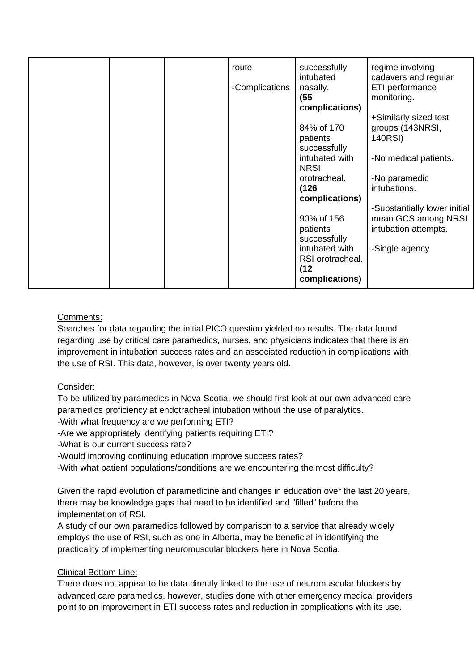| route          | successfully                   | regime involving                        |
|----------------|--------------------------------|-----------------------------------------|
| -Complications | intubated<br>nasally.          | cadavers and regular<br>ETI performance |
|                | (55)                           | monitoring.                             |
|                | complications)                 | +Similarly sized test                   |
|                | 84% of 170                     | groups (143NRSI,                        |
|                | patients                       | 140RSI)                                 |
|                | successfully<br>intubated with | -No medical patients.                   |
|                | <b>NRSI</b>                    |                                         |
|                | orotracheal.                   | -No paramedic                           |
|                | (126)                          | intubations.                            |
|                | complications)                 | -Substantially lower initial            |
|                | 90% of 156                     | mean GCS among NRSI                     |
|                | patients                       | intubation attempts.                    |
|                | successfully<br>intubated with |                                         |
|                | RSI orotracheal.               | -Single agency                          |
|                | (12)                           |                                         |
|                | complications)                 |                                         |

# Comments:

Searches for data regarding the initial PICO question yielded no results. The data found regarding use by critical care paramedics, nurses, and physicians indicates that there is an improvement in intubation success rates and an associated reduction in complications with the use of RSI. This data, however, is over twenty years old.

# Consider:

To be utilized by paramedics in Nova Scotia, we should first look at our own advanced care paramedics proficiency at endotracheal intubation without the use of paralytics.

-With what frequency are we performing ETI?

-Are we appropriately identifying patients requiring ETI?

-What is our current success rate?

-Would improving continuing education improve success rates?

-With what patient populations/conditions are we encountering the most difficulty?

Given the rapid evolution of paramedicine and changes in education over the last 20 years, there may be knowledge gaps that need to be identified and "filled" before the implementation of RSI.

A study of our own paramedics followed by comparison to a service that already widely employs the use of RSI, such as one in Alberta, may be beneficial in identifying the practicality of implementing neuromuscular blockers here in Nova Scotia.

# Clinical Bottom Line:

There does not appear to be data directly linked to the use of neuromuscular blockers by advanced care paramedics, however, studies done with other emergency medical providers point to an improvement in ETI success rates and reduction in complications with its use.